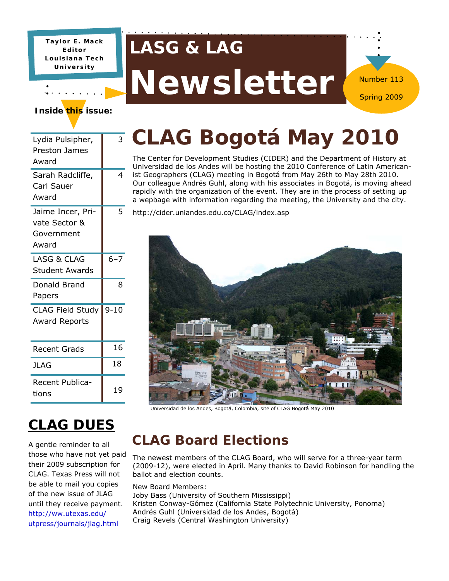**Taylor E. Mack Editor Louisiana Tech University** 

## **LASG & LAG**

# Newsletter

#### **Inside this issue:**

| 3        | ٦                              |
|----------|--------------------------------|
| 4        | j.<br>$\overline{a}$<br>r<br>ā |
| 5        | ł                              |
| $6 - 7$  |                                |
| 8        |                                |
| $9 - 10$ |                                |
| 16       |                                |
| 18       |                                |
| 19       |                                |
|          |                                |

## **CLAG Bogotá May 2010**

Number 113

The Center for Development Studies (CIDER) and the Department of History at Universidad de los Andes will be hosting the 2010 Conference of Latin Americanst Geographers (CLAG) meeting in Bogotá from May 26th to May 28th 2010. Our colleague Andrés Guhl, along with his associates in Bogotá, is moving ahead rapidly with the organization of the event. They are in the process of setting up a wepbage with information regarding the meeting, the University and the city.

http://cider.uniandes.edu.co/CLAG/index.asp



Universidad de los Andes, Bogotá, Colombia, site of CLAG Bogotá May 2010

### **CLAG DUES**

A gentle reminder to all those who have not yet paid their 2009 subscription for CLAG. Texas Press will not be able to mail you copies of the new issue of JLAG until they receive payment. http://ww.utexas.edu/ utpress/journals/jlag.html

### **CLAG Board Elections**

The newest members of the CLAG Board, who will serve for a three-year term (2009-12), were elected in April. Many thanks to David Robinson for handling the ballot and election counts.

New Board Members: Joby Bass (University of Southern Mississippi) Kristen Conway-Gómez (California State Polytechnic University, Ponoma) Andrés Guhl (Universidad de los Andes, Bogotá) Craig Revels (Central Washington University)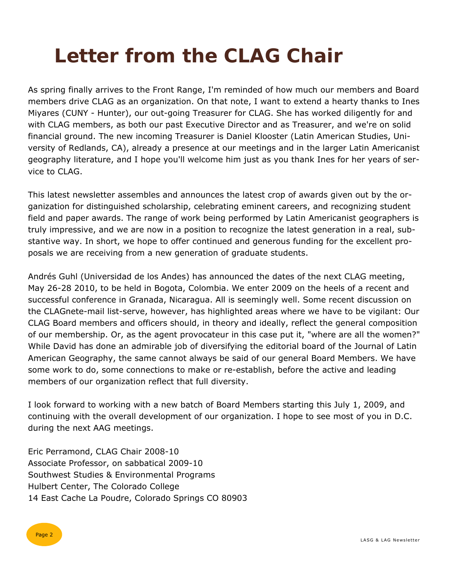## **Letter from the CLAG Chair**

As spring finally arrives to the Front Range, I'm reminded of how much our members and Board members drive CLAG as an organization. On that note, I want to extend a hearty thanks to Ines Miyares (CUNY - Hunter), our out-going Treasurer for CLAG. She has worked diligently for and with CLAG members, as both our past Executive Director and as Treasurer, and we're on solid financial ground. The new incoming Treasurer is Daniel Klooster (Latin American Studies, University of Redlands, CA), already a presence at our meetings and in the larger Latin Americanist geography literature, and I hope you'll welcome him just as you thank Ines for her years of service to CLAG.

This latest newsletter assembles and announces the latest crop of awards given out by the organization for distinguished scholarship, celebrating eminent careers, and recognizing student field and paper awards. The range of work being performed by Latin Americanist geographers is truly impressive, and we are now in a position to recognize the latest generation in a real, substantive way. In short, we hope to offer continued and generous funding for the excellent proposals we are receiving from a new generation of graduate students.

Andrés Guhl (Universidad de los Andes) has announced the dates of the next CLAG meeting, May 26-28 2010, to be held in Bogota, Colombia. We enter 2009 on the heels of a recent and successful conference in Granada, Nicaragua. All is seemingly well. Some recent discussion on the CLAGnete-mail list-serve, however, has highlighted areas where we have to be vigilant: Our CLAG Board members and officers should, in theory and ideally, reflect the general composition of our membership. Or, as the agent provocateur in this case put it, "where are all the women?" While David has done an admirable job of diversifying the editorial board of the Journal of Latin American Geography, the same cannot always be said of our general Board Members. We have some work to do, some connections to make or re-establish, before the active and leading members of our organization reflect that full diversity.

I look forward to working with a new batch of Board Members starting this July 1, 2009, and continuing with the overall development of our organization. I hope to see most of you in D.C. during the next AAG meetings.

Eric Perramond, CLAG Chair 2008-10 Associate Professor, on sabbatical 2009-10 Southwest Studies & Environmental Programs Hulbert Center, The Colorado College 14 East Cache La Poudre, Colorado Springs CO 80903

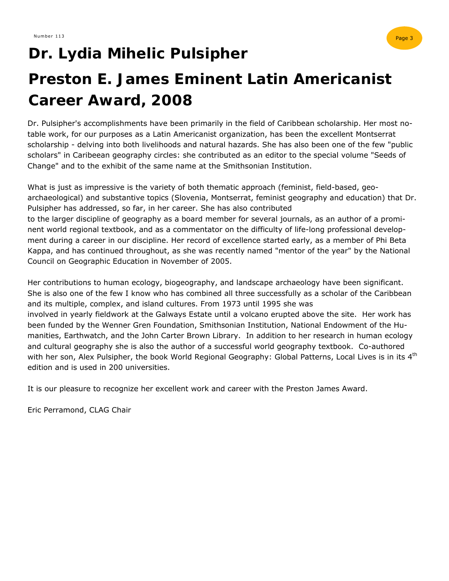## **Dr. Lydia Mihelic Pulsipher**

## **Preston E. James Eminent Latin Americanist Career Award, 2008**

Dr. Pulsipher's accomplishments have been primarily in the field of Caribbean scholarship. Her most notable work, for our purposes as a Latin Americanist organization, has been the excellent Montserrat scholarship - delving into both livelihoods and natural hazards. She has also been one of the few "public scholars" in Caribeean geography circles: she contributed as an editor to the special volume "Seeds of Change" and to the exhibit of the same name at the Smithsonian Institution.

What is just as impressive is the variety of both thematic approach (feminist, field-based, geoarchaeological) and substantive topics (Slovenia, Montserrat, feminist geography and education) that Dr. Pulsipher has addressed, so far, in her career. She has also contributed to the larger discipline of geography as a board member for several journals, as an author of a prominent world regional textbook, and as a commentator on the difficulty of life-long professional development during a career in our discipline. Her record of excellence started early, as a member of Phi Beta Kappa, and has continued throughout, as she was recently named "mentor of the year" by the National Council on Geographic Education in November of 2005.

Her contributions to human ecology, biogeography, and landscape archaeology have been significant. She is also one of the few I know who has combined all three successfully as a scholar of the Caribbean and its multiple, complex, and island cultures. From 1973 until 1995 she was involved in yearly fieldwork at the Galways Estate until a volcano erupted above the site. Her work has been funded by the Wenner Gren Foundation, Smithsonian Institution, National Endowment of the Humanities, Earthwatch, and the John Carter Brown Library. In addition to her research in human ecology and cultural geography she is also the author of a successful world geography textbook. Co-authored with her son, Alex Pulsipher, the book World Regional Geography: Global Patterns, Local Lives is in its 4<sup>th</sup> edition and is used in 200 universities.

It is our pleasure to recognize her excellent work and career with the Preston James Award.

Eric Perramond, CLAG Chair

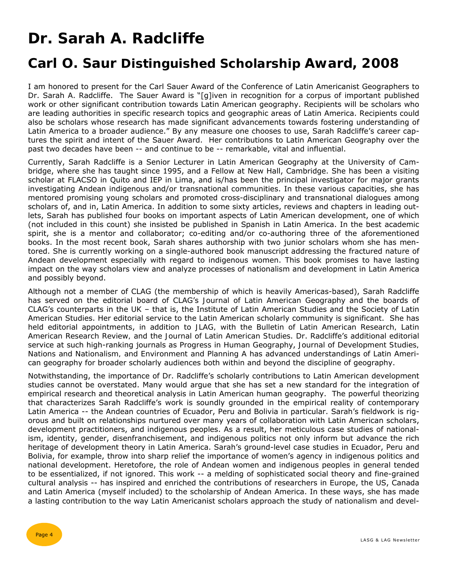## **Dr. Sarah A. Radcliffe**

### **Carl O. Saur Distinguished Scholarship Award, 2008**

I am honored to present for the Carl Sauer Award of the Conference of Latin Americanist Geographers to Dr. Sarah A. Radcliffe. The Sauer Award is "[g]iven in recognition for a corpus of important published work or other significant contribution towards Latin American geography. Recipients will be scholars who are leading authorities in specific research topics and geographic areas of Latin America. Recipients could also be scholars whose research has made significant advancements towards fostering understanding of Latin America to a broader audience." By any measure one chooses to use, Sarah Radcliffe's career captures the spirit and intent of the Sauer Award. Her contributions to Latin American Geography over the past two decades have been -- and continue to be -- remarkable, vital and influential.

Currently, Sarah Radcliffe is a Senior Lecturer in Latin American Geography at the University of Cambridge, where she has taught since 1995, and a Fellow at New Hall, Cambridge. She has been a visiting scholar at FLACSO in Quito and IEP in Lima, and is/has been the principal investigator for major grants investigating Andean indigenous and/or transnational communities. In these various capacities, she has mentored promising young scholars and promoted cross-disciplinary and transnational dialogues among scholars of, and in, Latin America. In addition to some sixty articles, reviews and chapters in leading outlets, Sarah has published four books on important aspects of Latin American development, one of which (not included in this count) she insisted be published in Spanish in Latin America. In the best academic spirit, she is a mentor and collaborator; co-editing and/or co-authoring three of the aforementioned books. In the most recent book, Sarah shares authorship with two junior scholars whom she has mentored. She is currently working on a single-authored book manuscript addressing the fractured nature of Andean development especially with regard to indigenous women. This book promises to have lasting impact on the way scholars view and analyze processes of nationalism and development in Latin America and possibly beyond.

Although not a member of CLAG (the membership of which is heavily Americas-based), Sarah Radcliffe has served on the editorial board of CLAG's *Journal of Latin American Geography* and the boards of CLAG's counterparts in the UK – that is, the Institute of Latin American Studies and the Society of Latin American Studies. Her editorial service to the Latin American scholarly community is significant. She has held editorial appointments, in addition to *JLAG,* with the *Bulletin of Latin American Research, Latin American Research Review,* and the *Journal of Latin American Studies*. Dr. Radcliffe's additional editorial service at such high-ranking journals as *Progress in Human Geography*, *Journal of Development Studies, Nations and Nationalism, and Environment and Planning A* has advanced understandings of Latin American geography for broader scholarly audiences both within and beyond the discipline of geography.

Notwithstanding, the importance of Dr. Radcliffe's scholarly contributions to Latin American development studies cannot be overstated. Many would argue that she has set a new standard for the integration of empirical research and theoretical analysis in Latin American human geography. The powerful theorizing that characterizes Sarah Radcliffe's work is soundly grounded in the empirical reality of contemporary Latin America -- the Andean countries of Ecuador, Peru and Bolivia in particular. Sarah's fieldwork is rigorous and built on relationships nurtured over many years of collaboration with Latin American scholars, development practitioners, and indigenous peoples. As a result, her meticulous case studies of nationalism, identity, gender, disenfranchisement, and indigenous politics not only inform but advance the rich heritage of development theory in Latin America. Sarah's ground-level case studies in Ecuador, Peru and Bolivia, for example, throw into sharp relief the importance of women's agency in indigenous politics and national development. Heretofore, the role of Andean women and indigenous peoples in general tended to be essentialized, if not ignored. This work -- a melding of sophisticated social theory and fine-grained cultural analysis -- has inspired and enriched the contributions of researchers in Europe, the US, Canada and Latin America (myself included) to the scholarship of Andean America. In these ways, she has made a lasting contribution to the way Latin Americanist scholars approach the study of nationalism and devel-

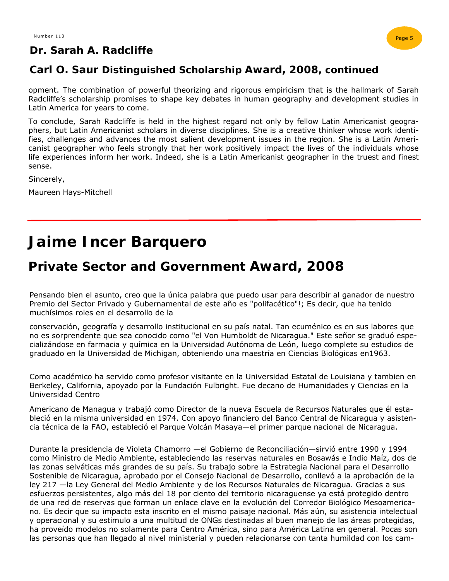#### **Dr. Sarah A. Radcliffe**



#### **Carl O. Saur Distinguished Scholarship Award, 2008, continued**

opment. The combination of powerful theorizing and rigorous empiricism that is the hallmark of Sarah Radcliffe's scholarship promises to shape key debates in human geography and development studies in Latin America for years to come.

To conclude, Sarah Radcliffe is held in the highest regard not only by fellow Latin Americanist geographers, but Latin Americanist scholars in diverse disciplines. She is a creative thinker whose work identifies, challenges and advances the most salient development issues in the region. She is a Latin Americanist geographer who feels strongly that her work positively impact the lives of the individuals whose life experiences inform her work. Indeed, she is a Latin Americanist geographer in the truest and finest sense.

Sincerely,

Maureen Hays-Mitchell

### **Jaime Incer Barquero**

### **Private Sector and Government Award, 2008**

Pensando bien el asunto, creo que la única palabra que puedo usar para describir al ganador de nuestro Premio del Sector Privado y Gubernamental de este año es "polifacético"!; Es decir, que ha tenido muchísimos roles en el desarrollo de la

conservación, geografía y desarrollo institucional en su país natal. Tan ecuménico es en sus labores que no es sorprendente que sea conocido como "el Von Humboldt de Nicaragua." Este señor se graduó especializándose en farmacia y química en la Universidad Autónoma de León, luego complete su estudios de graduado en la Universidad de Michigan, obteniendo una maestría en Ciencias Biológicas en1963.

Como académico ha servido como profesor visitante en la Universidad Estatal de Louisiana y tambien en Berkeley, California, apoyado por la Fundación Fulbright. Fue decano de Humanidades y Ciencias en la Universidad Centro

Americano de Managua y trabajó como Director de la nueva Escuela de Recursos Naturales que él estableció en la misma universidad en 1974. Con apoyo financiero del Banco Central de Nicaragua y asistencia técnica de la FAO, estableció el Parque Volcán Masaya—el primer parque nacional de Nicaragua.

Durante la presidencia de Violeta Chamorro —el Gobierno de Reconciliación—sirvió entre 1990 y 1994 como Ministro de Medio Ambiente, estableciendo las reservas naturales en Bosawás e Indio Maíz, dos de las zonas selváticas más grandes de su país. Su trabajo sobre la Estrategia Nacional para el Desarrollo Sostenible de Nicaragua, aprobado por el Consejo Nacional de Desarrollo, conllevó a la aprobación de la ley 217 —la Ley General del Medio Ambiente y de los Recursos Naturales de Nicaragua. Gracias a sus esfuerzos persistentes, algo más del 18 por ciento del territorio nicaraguense ya está protegido dentro de una red de reservas que forman un enlace clave en la evolución del Corredor Biológico Mesoamericano. Es decir que su impacto esta inscrito en el mismo paisaje nacional. Más aún, su asistencia intelectual y operacional y su estimulo a una multitud de ONGs destinadas al buen manejo de las áreas protegidas, ha proveído modelos no solamente para Centro América, sino para América Latina en general. Pocas son las personas que han llegado al nivel ministerial y pueden relacionarse con tanta humildad con los cam-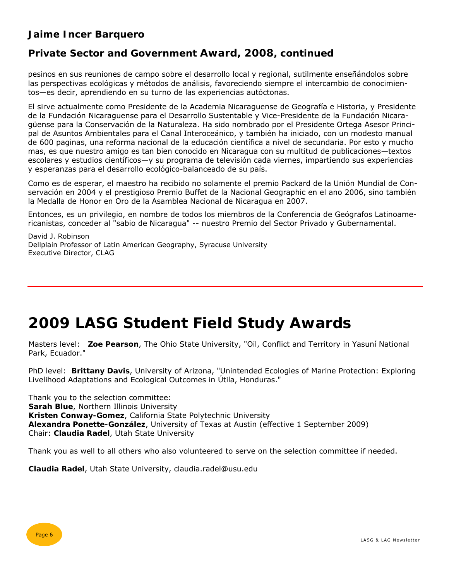#### **Jaime Incer Barquero**

#### **Private Sector and Government Award, 2008, continued**

pesinos en sus reuniones de campo sobre el desarrollo local y regional, sutilmente enseñándolos sobre las perspectivas ecológicas y métodos de análisis, favoreciendo siempre el intercambio de conocimientos—es decir, aprendiendo en su turno de las experiencias autóctonas.

El sirve actualmente como Presidente de la Academia Nicaraguense de Geografía e Historia, y Presidente de la Fundación Nicaraguense para el Desarrollo Sustentable y Vice-Presidente de la Fundación Nicaragüense para la Conservación de la Naturaleza. Ha sido nombrado por el Presidente Ortega Asesor Principal de Asuntos Ambientales para el Canal Interoceánico, y también ha iniciado, con un modesto manual de 600 paginas, una reforma nacional de la educación científica a nivel de secundaria. Por esto y mucho mas, es que nuestro amigo es tan bien conocido en Nicaragua con su multitud de publicaciones—textos escolares y estudios científicos—y su programa de televisión cada viernes, impartiendo sus experiencias y esperanzas para el desarrollo ecológico-balanceado de su país.

Como es de esperar, el maestro ha recibido no solamente el premio Packard de la Unión Mundial de Conservación en 2004 y el prestigioso Premio Buffet de la Nacional Geographic en el ano 2006, sino también la Medalla de Honor en Oro de la Asamblea Nacional de Nicaragua en 2007.

Entonces, es un privilegio, en nombre de todos los miembros de la Conferencia de Geógrafos Latinoamericanistas, conceder al "sabio de Nicaragua" -- nuestro Premio del Sector Privado y Gubernamental.

David J. Robinson Dellplain Professor of Latin American Geography, Syracuse University Executive Director, CLAG

### **2009 LASG Student Field Study Awards**

Masters level: **Zoe Pearson**, The Ohio State University, "Oil, Conflict and Territory in Yasuní National Park, Ecuador."

PhD level: **Brittany Davis**, University of Arizona, "Unintended Ecologies of Marine Protection: Exploring Livelihood Adaptations and Ecological Outcomes in Útila, Honduras."

Thank you to the selection committee: **Sarah Blue**, Northern Illinois University **Kristen Conway-Gomez**, California State Polytechnic University **Alexandra Ponette-González**, University of Texas at Austin (effective 1 September 2009) Chair: **Claudia Radel**, Utah State University

Thank you as well to all others who also volunteered to serve on the selection committee if needed.

**Claudia Radel**, Utah State University, claudia.radel@usu.edu

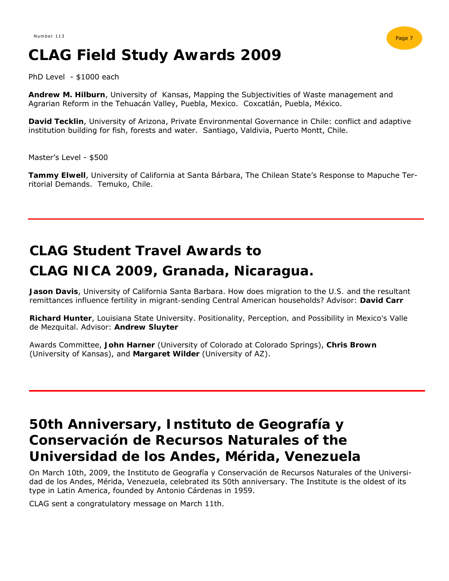## **CLAG Field Study Awards 2009**

PhD Level - \$1000 each

**Andrew M. Hilburn**, University of Kansas, Mapping the Subjectivities of Waste management and Agrarian Reform in the Tehuacán Valley, Puebla, Mexico. Coxcatlán, Puebla, México.

**David Tecklin**, University of Arizona, Private Environmental Governance in Chile: conflict and adaptive institution building for fish, forests and water. Santiago, Valdivia, Puerto Montt, Chile.

Master's Level - \$500

**Tammy Elwell**, University of California at Santa Bárbara, The Chilean State's Response to Mapuche Territorial Demands. Temuko, Chile.

## **CLAG Student Travel Awards to CLAG NICA 2009, Granada, Nicaragua.**

**Jason Davis**, University of California Santa Barbara. *How does migration to the U.S. and the resultant remittances influence fertility in migrant-sending Central American households?* Advisor: **David Carr**

**Richard Hunter**, Louisiana State University. *Positionality, Perception, and Possibility in Mexico's Valle de Mezquital*. Advisor: **Andrew Sluyter**

Awards Committee, **John Harner** (University of Colorado at Colorado Springs), **Chris Brown**  (University of Kansas), and **Margaret Wilder** (University of AZ).

### **50th Anniversary, Instituto de Geografía y Conservación de Recursos Naturales of the Universidad de los Andes, Mérida, Venezuela**

On March 10th, 2009, the Instituto de Geografía y Conservación de Recursos Naturales of the Universidad de los Andes, Mérida, Venezuela, celebrated its 50th anniversary. The Institute is the oldest of its type in Latin America, founded by Antonio Cárdenas in 1959.

CLAG sent a congratulatory message on March 11th.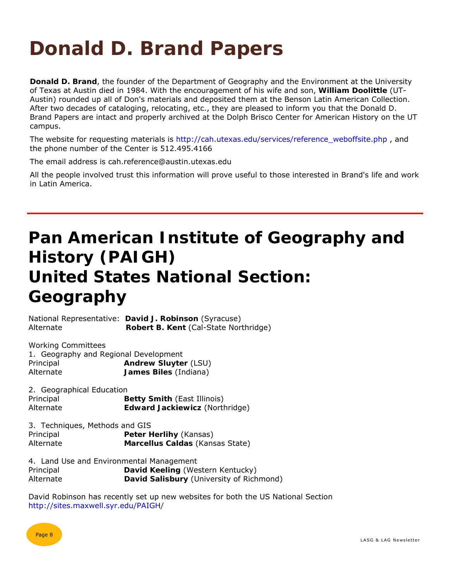## **Donald D. Brand Papers**

**Donald D. Brand**, the founder of the Department of Geography and the Environment at the University of Texas at Austin died in 1984. With the encouragement of his wife and son, **William Doolittle** (UT-Austin) rounded up all of Don's materials and deposited them at the Benson Latin American Collection. After two decades of cataloging, relocating, etc., they are pleased to inform you that the Donald D. Brand Papers are intact and properly archived at the Dolph Brisco Center for American History on the UT campus.

The website for requesting materials is http://cah.utexas.edu/services/reference\_weboffsite.php, and the phone number of the Center is 512.495.4166

The email address is cah.reference@austin.utexas.edu

All the people involved trust this information will prove useful to those interested in Brand's life and work in Latin America.

## **Pan American Institute of Geography and History (PAIGH) United States National Section: Geography**

National Representative: **David J. Robinson** (Syracuse) Alternate **Robert B. Kent** (Cal-State Northridge)

Working Committees 1. Geography and Regional Development Principal **Andrew Sluyter** (LSU) Alternate **James Biles** (Indiana)

2. Geographical Education Principal **Betty Smith** (East Illinois) Alternate **Edward Jackiewicz** (Northridge)

3. Techniques, Methods and GIS

Principal **Peter Herlihy** (Kansas) Alternate **Marcellus Caldas** (Kansas State)

4. Land Use and Environmental Management Principal **David Keeling** (Western Kentucky) Alternate **David Salisbury** (University of Richmond)

David Robinson has recently set up new websites for both the US National Section http://sites.maxwell.syr.edu/PAIGH/

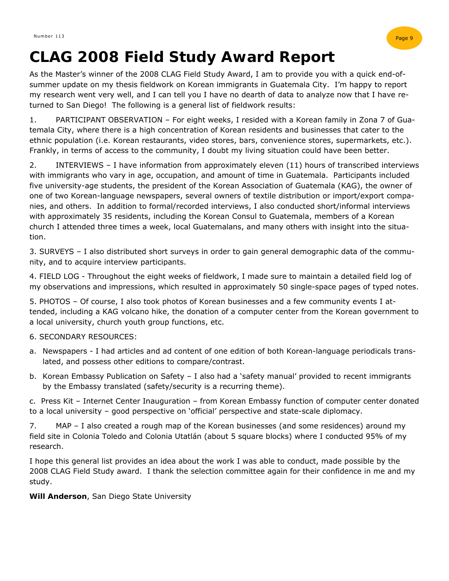

### **CLAG 2008 Field Study Award Report**

As the Master's winner of the 2008 CLAG Field Study Award, I am to provide you with a quick end-ofsummer update on my thesis fieldwork on Korean immigrants in Guatemala City. I'm happy to report my research went very well, and I can tell you I have no dearth of data to analyze now that I have returned to San Diego! The following is a general list of fieldwork results:

1. PARTICIPANT OBSERVATION – For eight weeks, I resided with a Korean family in Zona 7 of Guatemala City, where there is a high concentration of Korean residents and businesses that cater to the ethnic population (i.e. Korean restaurants, video stores, bars, convenience stores, supermarkets, etc.). Frankly, in terms of access to the community, I doubt my living situation could have been better.

2. INTERVIEWS – I have information from approximately eleven (11) hours of transcribed interviews with immigrants who vary in age, occupation, and amount of time in Guatemala. Participants included five university-age students, the president of the Korean Association of Guatemala (KAG), the owner of one of two Korean-language newspapers, several owners of textile distribution or import/export companies, and others. In addition to formal/recorded interviews, I also conducted short/informal interviews with approximately 35 residents, including the Korean Consul to Guatemala, members of a Korean church I attended three times a week, local Guatemalans, and many others with insight into the situation.

3. SURVEYS – I also distributed short surveys in order to gain general demographic data of the community, and to acquire interview participants.

4. FIELD LOG - Throughout the eight weeks of fieldwork, I made sure to maintain a detailed field log of my observations and impressions, which resulted in approximately 50 single-space pages of typed notes.

5. PHOTOS – Of course, I also took photos of Korean businesses and a few community events I attended, including a KAG volcano hike, the donation of a computer center from the Korean government to a local university, church youth group functions, etc.

#### 6. SECONDARY RESOURCES:

- a. Newspapers I had articles and ad content of one edition of both Korean-language periodicals translated, and possess other editions to compare/contrast.
- b. Korean Embassy Publication on Safety I also had a 'safety manual' provided to recent immigrants by the Embassy translated (safety/security is a recurring theme).

c. Press Kit – Internet Center Inauguration – from Korean Embassy function of computer center donated to a local university – good perspective on 'official' perspective and state-scale diplomacy.

7. MAP – I also created a rough map of the Korean businesses (and some residences) around my field site in Colonia Toledo and Colonia Utatlán (about 5 square blocks) where I conducted 95% of my research.

I hope this general list provides an idea about the work I was able to conduct, made possible by the 2008 CLAG Field Study award. I thank the selection committee again for their confidence in me and my study.

**Will Anderson**, San Diego State University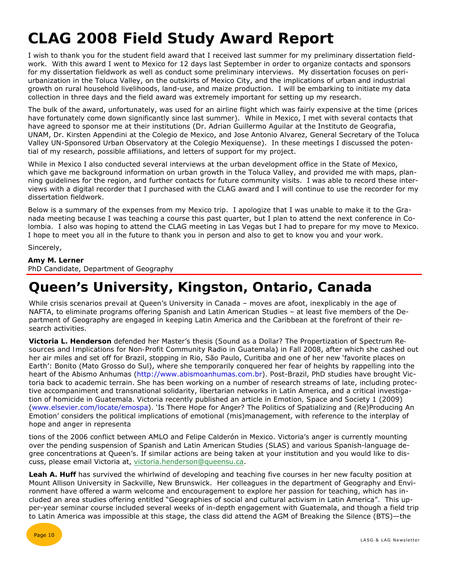## **CLAG 2008 Field Study Award Report**

I wish to thank you for the student field award that I received last summer for my preliminary dissertation fieldwork. With this award I went to Mexico for 12 days last September in order to organize contacts and sponsors for my dissertation fieldwork as well as conduct some preliminary interviews. My dissertation focuses on periurbanization in the Toluca Valley, on the outskirts of Mexico City, and the implications of urban and industrial growth on rural household livelihoods, land-use, and maize production. I will be embarking to initiate my data collection in three days and the field award was extremely important for setting up my research.

The bulk of the award, unfortunately, was used for an airline flight which was fairly expensive at the time (prices have fortunately come down significantly since last summer). While in Mexico, I met with several contacts that have agreed to sponsor me at their institutions (Dr. Adrian Guillermo Aguilar at the Instituto de Geografia, UNAM, Dr. Kirsten Appendini at the Colegio de Mexico, and Jose Antonio Alvarez, General Secretary of the Toluca Valley UN-Sponsored Urban Observatory at the Colegio Mexiquense). In these meetings I discussed the potential of my research, possible affiliations, and letters of support for my project.

While in Mexico I also conducted several interviews at the urban development office in the State of Mexico, which gave me background information on urban growth in the Toluca Valley, and provided me with maps, planning guidelines for the region, and further contacts for future community visits. I was able to record these interviews with a digital recorder that I purchased with the CLAG award and I will continue to use the recorder for my dissertation fieldwork.

Below is a summary of the expenses from my Mexico trip. I apologize that I was unable to make it to the Granada meeting because I was teaching a course this past quarter, but I plan to attend the next conference in Colombia. I also was hoping to attend the CLAG meeting in Las Vegas but I had to prepare for my move to Mexico. I hope to meet you all in the future to thank you in person and also to get to know you and your work.

Sincerely,

#### **Amy M. Lerner**

PhD Candidate, Department of Geography

### **Queen's University, Kingston, Ontario, Canada**

While crisis scenarios prevail at Queen's University in Canada - moves are afoot, inexplicably in the age of NAFTA, to eliminate programs offering Spanish and Latin American Studies – at least five members of the Department of Geography are engaged in keeping Latin America and the Caribbean at the forefront of their research activities.

**Victoria L. Henderson** defended her Master's thesis (*Sound as a Dollar? The Propertization of Spectrum Resources and Implications for Non-Profit Community Radio in Guatemala*) in Fall 2008, after which she cashed out her air miles and set off for Brazil, stopping in Rio, São Paulo, Curitiba and one of her new 'favorite places on Earth': Bonito (Mato Grosso do Sul), where she temporarily conquered her fear of heights by rappelling into the heart of the Abismo Anhumas (http://www.abismoanhumas.com.br). Post-Brazil, PhD studies have brought Victoria back to academic terrain. She has been working on a number of research streams of late, including protective accompaniment and transnational solidarity, libertarian networks in Latin America, and a critical investigation of homicide in Guatemala. Victoria recently published an article in *Emotion, Space and Society* 1 (2009) (www.elsevier.com/locate/emospa). 'Is There Hope for Anger? The Politics of Spatializing and (Re)Producing An Emotion' considers the political implications of emotional (mis)management, with reference to the interplay of hope and anger in representa

tions of the 2006 conflict between AMLO and Felipe Calderón in Mexico. Victoria's anger is currently mounting over the pending suspension of Spanish and Latin American Studies (SLAS) and various Spanish-language degree concentrations at Queen's. If similar actions are being taken at your institution and you would like to discuss, please email Victoria at, victoria.henderson@queensu.ca.

**Leah A. Huff** has survived the whirlwind of developing and teaching five courses in her new faculty position at Mount Allison University in Sackville, New Brunswick. Her colleagues in the department of Geography and Environment have offered a warm welcome and encouragement to explore her passion for teaching, which has included an area studies offering entitled "Geographies of social and cultural activism in Latin America". This upper-year seminar course included several weeks of in-depth engagement with Guatemala, and though a field trip to Latin America was impossible at this stage, the class did attend the AGM of Breaking the Silence (BTS)—the

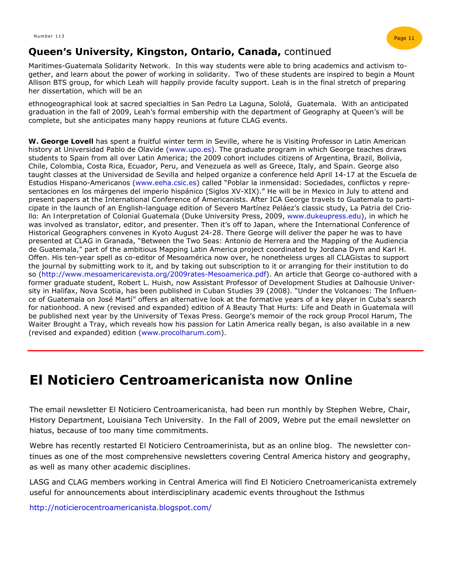

#### **Queen's University, Kingston, Ontario, Canada,** continued

Maritimes-Guatemala Solidarity Network. In this way students were able to bring academics and activism together, and learn about the power of working in solidarity. Two of these students are inspired to begin a Mount Allison BTS group, for which Leah will happily provide faculty support. Leah is in the final stretch of preparing her dissertation, which will be an

ethnogeographical look at sacred specialties in San Pedro La Laguna, Sololá, Guatemala. With an anticipated graduation in the fall of 2009, Leah's formal embership with the department of Geography at Queen's will be complete, but she anticipates many happy reunions at future CLAG events.

**W. George Lovell** has spent a fruitful winter term in Seville, where he is Visiting Professor in Latin American history at Universidad Pablo de Olavide (www.upo.es). The graduate program in which George teaches draws students to Spain from all over Latin America; the 2009 cohort includes citizens of Argentina, Brazil, Bolivia, Chile, Colombia, Costa Rica, Ecuador, Peru, and Venezuela as well as Greece, Italy, and Spain. George also taught classes at the Universidad de Sevilla and helped organize a conference held April 14-17 at the Escuela de Estudios Hispano-Americanos (www.eeha.csic.es) called "Poblar la inmensidad: Sociedades, conflictos y representaciones en los márgenes del imperio hispánico (Siglos XV-XIX)." He will be in Mexico in July to attend and present papers at the International Conference of Americanists. After ICA George travels to Guatemala to participate in the launch of an English-language edition of Severo Martínez Peláez's classic study, *La Patria del Criollo: An Interpretation of Colonial Guatemala* (Duke University Press, 2009, www.dukeupress.edu), in which he was involved as translator, editor, and presenter. Then it's off to Japan, where the International Conference of Historical Geographers convenes in Kyoto August 24-28. There George will deliver the paper he was to have presented at CLAG in Granada, "Between the Two Seas: Antonio de Herrera and the Mapping of the Audiencia de Guatemala," part of the ambitious Mapping Latin America project coordinated by Jordana Dym and Karl H. Offen. His ten-year spell as co-editor of *Mesoamérica* now over, he nonetheless urges all *CLAGistas* to support the journal by submitting work to it, and by taking out subscription to it or arranging for their institution to do so (http://www.mesoamericarevista.org/2009rates-Mesoamerica.pdf). An article that George co-authored with a former graduate student, Robert L. Huish, now Assistant Professor of Development Studies at Dalhousie University in Halifax, Nova Scotia, has been published in *Cuban Studies* 39 (2008). "Under the Volcanoes: The Influence of Guatemala on José Martí" offers an alternative look at the formative years of a key player in Cuba's search for nationhood. A new (revised and expanded) edition of *A Beauty That Hurts: Life and Death in Guatemala* will be published next year by the University of Texas Press. George's memoir of the rock group Procol Harum, *The Waiter Brought a Tray*, which reveals how his passion for Latin America really began, is also available in a new (revised and expanded) edition (www.procolharum.com).

### *El Noticiero Centroamericanista* **now Online**

The email newsletter *El Noticiero Centroamericanista,* had been run monthly by Stephen Webre, Chair, History Department, Louisiana Tech University. In the Fall of 2009, Webre put the email newsletter on hiatus, because of too many time commitments.

Webre has recently restarted *El Noticiero Centroamerinista*, but as an online blog. The newsletter continues as one of the most comprehensive newsletters covering Central America history and geography, as well as many other academic disciplines.

LASG and CLAG members working in Central America will find *El Noticiero Cnetroamericanista* extremely useful for announcements about interdisciplinary academic events throughout the Isthmus

http://noticierocentroamericanista.blogspot.com/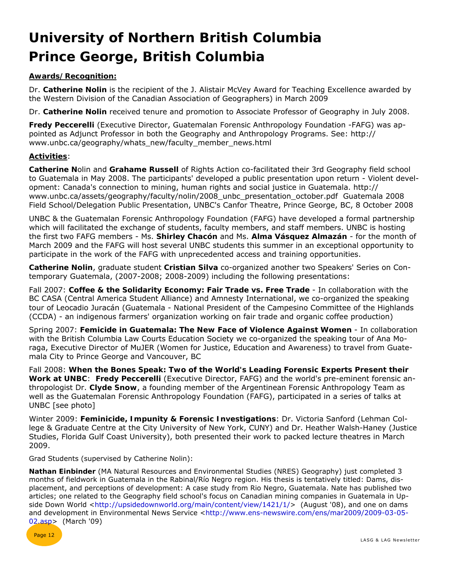## **University of Northern British Columbia Prince George, British Columbia**

#### **Awards/Recognition:**

Dr. **Catherine Nolin** is the recipient of the J. Alistair McVey Award for Teaching Excellence awarded by the Western Division of the Canadian Association of Geographers) in March 2009

Dr. **Catherine Nolin** received tenure and promotion to Associate Professor of Geography in July 2008.

**Fredy Peccerelli** (Executive Director, Guatemalan Forensic Anthropology Foundation -FAFG) was appointed as Adjunct Professor in both the Geography and Anthropology Programs. See: http:// www.unbc.ca/geography/whats\_new/faculty\_member\_news.html

#### **Activities**:

**Catherine N**olin and **Grahame Russell** of Rights Action co-facilitated their 3rd Geography field school to Guatemala in May 2008. The participants' developed a public presentation upon return - Violent development: Canada's connection to mining, human rights and social justice in Guatemala. http:// www.unbc.ca/assets/geography/faculty/nolin/2008\_unbc\_presentation\_october.pdf Guatemala 2008 Field School/Delegation Public Presentation, UNBC's Canfor Theatre, Prince George, BC, 8 October 2008

UNBC & the Guatemalan Forensic Anthropology Foundation (FAFG) have developed a formal partnership which will facilitated the exchange of students, faculty members, and staff members. UNBC is hosting the first two FAFG members - Ms. **Shirley Chacón** and Ms. **Alma Vásquez Almazán** - for the month of March 2009 and the FAFG will host several UNBC students this summer in an exceptional opportunity to participate in the work of the FAFG with unprecedented access and training opportunities.

**Catherine Nolin**, graduate student **Cristian Silva** co-organized another two Speakers' Series on Contemporary Guatemala, (2007-2008; 2008-2009) including the following presentations:

Fall 2007: **Coffee & the Solidarity Economy: Fair Trade vs. Free Trade** - In collaboration with the BC CASA (Central America Student Alliance) and Amnesty International, we co-organized the speaking tour of Leocadio Juracán (Guatemala - National President of the Campesino Committee of the Highlands (CCDA) - an indigenous farmers' organization working on fair trade and organic coffee production)

Spring 2007: **Femicide in Guatemala: The New Face of Violence Against Women** - In collaboration with the British Columbia Law Courts Education Society we co-organized the speaking tour of Ana Moraga, Executive Director of MuJER (Women for Justice, Education and Awareness) to travel from Guatemala City to Prince George and Vancouver, BC

Fall 2008: **When the Bones Speak: Two of the World's Leading Forensic Experts Present their Work at UNBC**: **Fredy Peccerelli** (Executive Director, FAFG) and the world's pre-eminent forensic anthropologist Dr. **Clyde Snow**, a founding member of the Argentinean Forensic Anthropology Team as well as the Guatemalan Forensic Anthropology Foundation (FAFG), participated in a series of talks at UNBC [see photo]

Winter 2009: **Feminicide, Impunity & Forensic Investigations**: Dr. Victoria Sanford (Lehman College & Graduate Centre at the City University of New York, CUNY) and Dr. Heather Walsh-Haney (Justice Studies, Florida Gulf Coast University), both presented their work to packed lecture theatres in March 2009.

Grad Students (supervised by Catherine Nolin):

**Nathan Einbinder** (MA Natural Resources and Environmental Studies (NRES) Geography) just completed 3 months of fieldwork in Guatemala in the Rabinal/Río Negro region. His thesis is tentatively titled: Dams, displacement, and perceptions of development: A case study from Rio Negro, Guatemala. Nate has published two articles; one related to the Geography field school's focus on Canadian mining companies in Guatemala in Upside Down World <http://upsidedownworld.org/main/content/view/1421/1/> (August '08), and one on dams and development in Environmental News Service <http://www.ens-newswire.com/ens/mar2009/2009-03-05- 02.asp> (March '09)

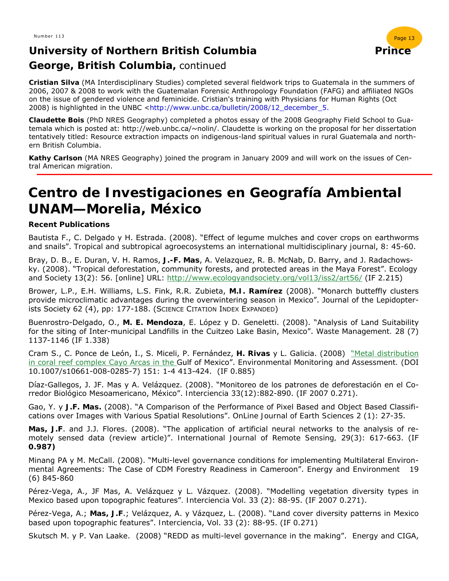#### **University of Northern British Columbia Prince Prince George, British Columbia,** continued



**Cristian Silva** (MA Interdisciplinary Studies) completed several fieldwork trips to Guatemala in the summers of 2006, 2007 & 2008 to work with the Guatemalan Forensic Anthropology Foundation (FAFG) and affiliated NGOs on the issue of gendered violence and feminicide. Cristian's training with Physicians for Human Rights (Oct 2008) is highlighted in the UNBC <http://www.unbc.ca/bulletin/2008/12\_december\_5.

**Claudette Bois** (PhD NRES Geography) completed a photos essay of the 2008 Geography Field School to Guatemala which is posted at: http://web.unbc.ca/~nolin/. Claudette is working on the proposal for her dissertation tentatively titled: Resource extraction impacts on indigenous-land spiritual values in rural Guatemala and northern British Columbia.

**Kathy Carlson** (MA NRES Geography) joined the program in January 2009 and will work on the issues of Central American migration.

### **Centro de Investigaciones en Geografía Ambiental UNAM—Morelia, México**

#### **Recent Publications**

Bautista F., C. Delgado y H. Estrada. (2008). "Effect of legume mulches and cover crops on earthworms and snails". *Tropical and subtropical agroecosystems an international multidisciplinary journal*, 8: 45-60.

Bray, D. B., E. Duran, V. H. Ramos, **J.-F. Mas**, A. Velazquez, R. B. McNab, D. Barry, and J. Radachowsky. (2008). "Tropical deforestation, community forests, and protected areas in the Maya Forest". *Ecology and Society* 13(2): 56. [online] URL: http://www.ecologyandsociety.org/vol13/iss2/art56/ (IF 2.215)

Brower, L.P., E.H. Williams, L.S. Fink, R.R. Zubieta, **M.I. Ramírez** (2008). "Monarch butteffly clusters provide microclimatic advantages during the overwintering season in Mexico". Journal of the Lepidopterists Society 62 (4), pp: 177-188. (SCIENCE CITATION INDEX EXPANDED)

Buenrostro-Delgado, O., **M. E. Mendoza**, E. López y D. Geneletti. (2008). "Analysis of Land Suitability for the siting of Inter-municipal Landfills in the Cuitzeo Lake Basin, Mexico". *Waste Management.* 28 (7) 1137-1146 (IF 1.338)

Cram S., C. Ponce de León, I., S. Miceli, P. Fernández, **H. Rivas** y L. Galicia. (2008) "Metal distribution in coral reef complex Cayo Arcas in the Gulf of Mexico". *Environmental Monitoring and Assessment.* (DOI 10.1007/s10661-008-0285-7) 151: 1-4 413-424. (IF 0.885)

Díaz-Gallegos, J. JF. Mas y A. Velázquez. (2008). "Monitoreo de los patrones de deforestación en el Corredor Biológico Mesoamericano, México". *Interciencia* 33(12):882-890. (IF 2007 0.271).

Gao, Y. y **J.F. Mas.** (2008). "A Comparison of the Performance of Pixel Based and Object Based Classifications over Images with Various Spatial Resolutions". *OnLine Journal of Earth Sciences* 2 (1): 27-35.

**Mas, J.F**. and J.J. Flores. (2008). "The application of artificial neural networks to the analysis of remotely sensed data (review article)". *International Journal of Remote Sensing,* 29(3): 617-663. (IF **0.987)** 

Minang PA y M. McCall. (2008). "Multi-level governance conditions for implementing Multilateral Environmental Agreements: The Case of CDM Forestry Readiness in Cameroon". *Energy and Environment* 19 (6) 845-860

Pérez-Vega, A., JF Mas, A. Velázquez y L. Vázquez. (2008). "Modelling vegetation diversity types in Mexico based upon topographic features"*. Interciencia* Vol. 33 (2): 88-95. (IF 2007 0.271).

Pérez-Vega, A.; **Mas, J.F**.; Velázquez, A. y Vázquez, L. (2008). "Land cover diversity patterns in Mexico based upon topographic features". *Interciencia*, Vol. 33 (2): 88-95. (IF 0.271)

Skutsch M. y P. Van Laake. (2008) "REDD as multi-level governance in the making". *Energy and* CIGA,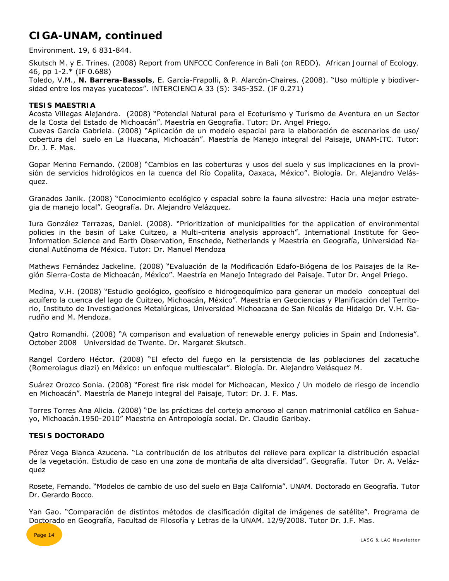#### **CIGA-UNAM, continued**

*Environment.* 19, 6 831-844.

Skutsch M. y E. Trines. (2008) Report from UNFCCC Conference in Bali (on REDD). *African Journal of Ecology.*  46, pp 1-2.\* (IF 0.688)

Toledo, V.M., **N. Barrera-Bassols**, E. García-Frapolli, & P. Alarcón-Chaires. (2008). "Uso múltiple y biodiversidad entre los mayas yucatecos". *INTERCIENCIA* 33 (5): 345-352. (IF 0.271)

#### **TESIS MAESTRIA**

Acosta Villegas Alejandra. (2008) "Potencial Natural para el Ecoturismo y Turismo de Aventura en un Sector de la Costa del Estado de Michoacán". Maestría en Geografía. Tutor: Dr. Angel Priego.

Cuevas García Gabriela. (2008) "Aplicación de un modelo espacial para la elaboración de escenarios de uso/ cobertura del suelo en La Huacana, Michoacán". Maestría de Manejo integral del Paisaje, UNAM-ITC. Tutor: Dr. J. F. Mas.

Gopar Merino Fernando. (2008) "Cambios en las coberturas y usos del suelo y sus implicaciones en la provisión de servicios hidrológicos en la cuenca del Río Copalita, Oaxaca, México". Biología. Dr. Alejandro Velásquez.

Granados Janik. (2008) "Conocimiento ecológico y espacial sobre la fauna silvestre: Hacia una mejor estrategia de manejo local". Geografía. Dr. Alejandro Velázquez.

Iura González Terrazas, Daniel. (2008). "Prioritization of municipalities for the application of environmental policies in the basin of Lake Cuitzeo, a Multi-criteria analysis approach". International Institute for Geo-Information Science and Earth Observation, Enschede, Netherlands y Maestría en Geografía, Universidad Nacional Autónoma de México. Tutor: Dr. Manuel Mendoza

Mathews Fernández Jackeline. (2008) "Evaluación de la Modificación Edafo-Biógena de los Paisajes de la Región Sierra-Costa de Michoacán, México". Maestría en Manejo Integrado del Paisaje. Tutor Dr. Angel Priego.

Medina, V.H. (2008) "Estudio geológico, geofísico e hidrogeoquímico para generar un modelo conceptual del acuífero la cuenca del lago de Cuitzeo, Michoacán, México". Maestría en Geociencias y Planificación del Territorio, Instituto de Investigaciones Metalúrgicas, Universidad Michoacana de San Nicolás de Hidalgo Dr. V.H. Garudño and M. Mendoza.

Qatro Romandhi. (2008) "A comparison and evaluation of renewable energy policies in Spain and Indonesia". October 2008 Universidad de Twente. Dr. Margaret Skutsch.

Rangel Cordero Héctor. (2008) "El efecto del fuego en la persistencia de las poblaciones del zacatuche (Romerolagus diazi) en México: un enfoque multiescalar". Biología. Dr. Alejandro Velásquez M.

Suárez Orozco Sonia. (2008) "Forest fire risk model for Michoacan, Mexico / Un modelo de riesgo de incendio en Michoacán". Maestría de Manejo integral del Paisaje, Tutor: Dr. J. F. Mas.

Torres Torres Ana Alicia. (2008) "De las prácticas del cortejo amoroso al canon matrimonial católico en Sahuayo, Michoacán.1950-2010" Maestria en Antropología social. Dr. Claudio Garibay.

#### **TESIS DOCTORADO**

Pérez Vega Blanca Azucena. "La contribución de los atributos del relieve para explicar la distribución espacial de la vegetación. Estudio de caso en una zona de montaña de alta diversidad". Geografía. Tutor Dr. A. Velázquez

Rosete, Fernando. "Modelos de cambio de uso del suelo en Baja California". UNAM. Doctorado en Geografía. Tutor Dr. Gerardo Bocco.

Yan Gao. "Comparación de distintos métodos de clasificación digital de imágenes de satélite". Programa de Doctorado en Geografía, Facultad de Filosofía y Letras de la UNAM. 12/9/2008. Tutor Dr. J.F. Mas.

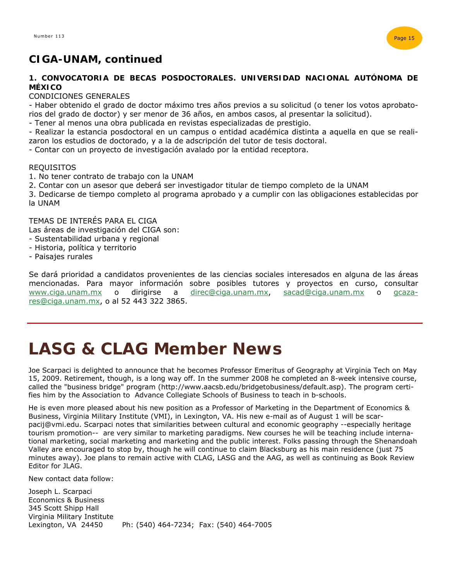

#### **CIGA-UNAM, continued**

#### **1. CONVOCATORIA DE BECAS POSDOCTORALES. UNIVERSIDAD NACIONAL AUTÓNOMA DE MÉXICO**

#### CONDICIONES GENERALES

- Haber obtenido el grado de doctor máximo tres años previos a su solicitud (o tener los votos aprobatorios del grado de doctor) y ser menor de 36 años, en ambos casos, al presentar la solicitud).

- Tener al menos una obra publicada en revistas especializadas de prestigio.

- Realizar la estancia posdoctoral en un campus o entidad académica distinta a aquella en que se realizaron los estudios de doctorado, y a la de adscripción del tutor de tesis doctoral.

- Contar con un proyecto de investigación avalado por la entidad receptora.

#### **REQUISITOS**

- 1. No tener contrato de trabajo con la UNAM
- 2. Contar con un asesor que deberá ser investigador titular de tiempo completo de la UNAM
- 3. Dedicarse de tiempo completo al programa aprobado y a cumplir con las obligaciones establecidas por la UNAM

TEMAS DE INTERÉS PARA EL CIGA Las áreas de investigación del CIGA son:

- Sustentabilidad urbana y regional
- Historia, política y territorio
- Paisajes rurales

Se dará prioridad a candidatos provenientes de las ciencias sociales interesados en alguna de las áreas mencionadas. Para mayor información sobre posibles tutores y proyectos en curso, consultar www.ciga.unam.mx o dirigirse a direc@ciga.unam.mx, sacad@ciga.unam.mx o gcazares@ciga.unam.mx, o al 52 443 322 3865.

## **LASG & CLAG Member News**

Joe Scarpaci is delighted to announce that he becomes Professor Emeritus of Geography at Virginia Tech on May 15, 2009. Retirement, though, is a long way off. In the summer 2008 he completed an 8-week intensive course, called the "business bridge" program (http://www.aacsb.edu/bridgetobusiness/default.asp). The program certifies him by the Association to Advance Collegiate Schools of Business to teach in b-schools.

He is even more pleased about his new position as a Professor of Marketing in the Department of Economics & Business, Virginia Military Institute (VMI), in Lexington, VA. His new e-mail as of August 1 will be scarpacij@vmi.edu. Scarpaci notes that similarities between cultural and economic geography --especially heritage tourism promotion-- are very similar to marketing paradigms. New courses he will be teaching include international marketing, social marketing and marketing and the public interest. Folks passing through the Shenandoah Valley are encouraged to stop by, though he will continue to claim Blacksburg as his main residence (just 75 minutes away). Joe plans to remain active with CLAG, LASG and the AAG, as well as continuing as Book Review Editor for JLAG.

New contact data follow:

Joseph L. Scarpaci Economics & Business 345 Scott Shipp Hall Virginia Military Institute Lexington, VA 24450 Ph: (540) 464-7234; Fax: (540) 464-7005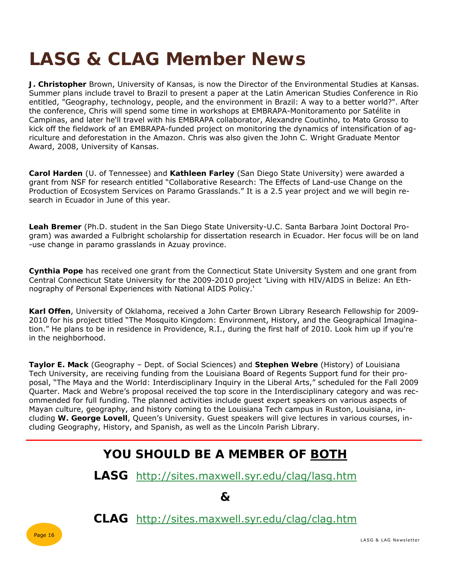## **LASG & CLAG Member News**

**J. Christopher** Brown, University of Kansas, is now the Director of the Environmental Studies at Kansas. Summer plans include travel to Brazil to present a paper at the Latin American Studies Conference in Rio entitled, "Geography, technology, people, and the environment in Brazil: A way to a better world?". After the conference, Chris will spend some time in workshops at EMBRAPA-Monitoramento por Satélite in Campinas, and later he'll travel with his EMBRAPA collaborator, Alexandre Coutinho, to Mato Grosso to kick off the fieldwork of an EMBRAPA-funded project on monitoring the dynamics of intensification of agriculture and deforestation in the Amazon. Chris was also given the John C. Wright Graduate Mentor Award, 2008, University of Kansas.

**Carol Harden** (U. of Tennessee) and **Kathleen Farley** (San Diego State University) were awarded a grant from NSF for research entitled "Collaborative Research: The Effects of Land-use Change on the Production of Ecosystem Services on Paramo Grasslands." It is a 2.5 year project and we will begin research in Ecuador in June of this year.

**Leah Bremer** (Ph.D. student in the San Diego State University-U.C. Santa Barbara Joint Doctoral Program) was awarded a Fulbright scholarship for dissertation research in Ecuador. Her focus will be on land -use change in paramo grasslands in Azuay province.

**Cynthia Pope** has received one grant from the Connecticut State University System and one grant from Central Connecticut State University for the 2009-2010 project 'Living with HIV/AIDS in Belize: An Ethnography of Personal Experiences with National AIDS Policy.'

**Karl Offen**, University of Oklahoma, received a John Carter Brown Library Research Fellowship for 2009- 2010 for his project titled "The Mosquito Kingdom: Environment, History, and the Geographical Imagination." He plans to be in residence in Providence, R.I., during the first half of 2010. Look him up if you're in the neighborhood.

**Taylor E. Mack** (Geography – Dept. of Social Sciences) and **Stephen Webre** (History) of Louisiana Tech University, are receiving funding from the Louisiana Board of Regents Support fund for their proposal, "The Maya and the World: Interdisciplinary Inquiry in the Liberal Arts," scheduled for the Fall 2009 Quarter. Mack and Webre's proposal received the top score in the Interdisciplinary category and was recommended for full funding. The planned activities include guest expert speakers on various aspects of Mayan culture, geography, and history coming to the Louisiana Tech campus in Ruston, Louisiana, including **W. George Lovell**, Queen's University. Guest speakers will give lectures in various courses, including Geography, History, and Spanish, as well as the Lincoln Parish Library.

#### **YOU SHOULD BE A MEMBER OF BOTH**

**LASG** http://sites.maxwell.syr.edu/clag/lasg.htm

**&** 

**CLAG** http://sites.maxwell.syr.edu/clag/clag.htm

Page 16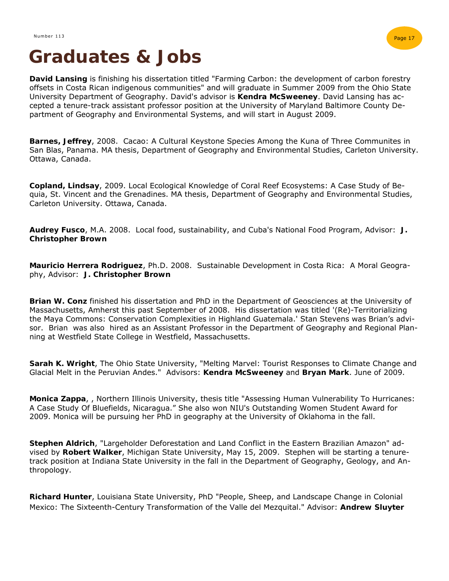

## **Graduates & Jobs**

**David Lansing** is finishing his dissertation titled "Farming Carbon: the development of carbon forestry offsets in Costa Rican indigenous communities" and will graduate in Summer 2009 from the Ohio State University Department of Geography. David's advisor is **Kendra McSweeney**. David Lansing has accepted a tenure-track assistant professor position at the University of Maryland Baltimore County Department of Geography and Environmental Systems, and will start in August 2009.

**Barnes, Jeffrey**, 2008. Cacao: A Cultural Keystone Species Among the Kuna of Three Communites in San Blas, Panama. MA thesis, Department of Geography and Environmental Studies, Carleton University. Ottawa, Canada.

**Copland, Lindsay**, 2009. Local Ecological Knowledge of Coral Reef Ecosystems: A Case Study of Bequia, St. Vincent and the Grenadines. MA thesis, Department of Geography and Environmental Studies, Carleton University. Ottawa, Canada.

**Audrey Fusco**, M.A. 2008. Local food, sustainability, and Cuba's National Food Program, Advisor: **J. Christopher Brown** 

**Mauricio Herrera Rodriguez**, Ph.D. 2008. Sustainable Development in Costa Rica: A Moral Geography, Advisor: **J. Christopher Brown**

**Brian W. Conz** finished his dissertation and PhD in the Department of Geosciences at the University of Massachusetts, Amherst this past September of 2008. His dissertation was titled '(Re)-Territorializing the Maya Commons: Conservation Complexities in Highland Guatemala.' Stan Stevens was Brian's advisor. Brian was also hired as an Assistant Professor in the Department of Geography and Regional Planning at Westfield State College in Westfield, Massachusetts.

**Sarah K. Wright**, The Ohio State University, "Melting Marvel: Tourist Responses to Climate Change and Glacial Melt in the Peruvian Andes." Advisors: **Kendra McSweeney** and **Bryan Mark**. June of 2009.

**Monica Zappa**, , Northern Illinois University, thesis title "Assessing Human Vulnerability To Hurricanes: A Case Study Of Bluefields, Nicaragua." She also won NIU's Outstanding Women Student Award for 2009. Monica will be pursuing her PhD in geography at the University of Oklahoma in the fall.

**Stephen Aldrich**, "Largeholder Deforestation and Land Conflict in the Eastern Brazilian Amazon" advised by **Robert Walker**, Michigan State University, May 15, 2009. Stephen will be starting a tenuretrack position at Indiana State University in the fall in the Department of Geography, Geology, and Anthropology.

**Richard Hunter**, Louisiana State University, PhD "People, Sheep, and Landscape Change in Colonial Mexico: The Sixteenth-Century Transformation of the Valle del Mezquital." Advisor: **Andrew Sluyter**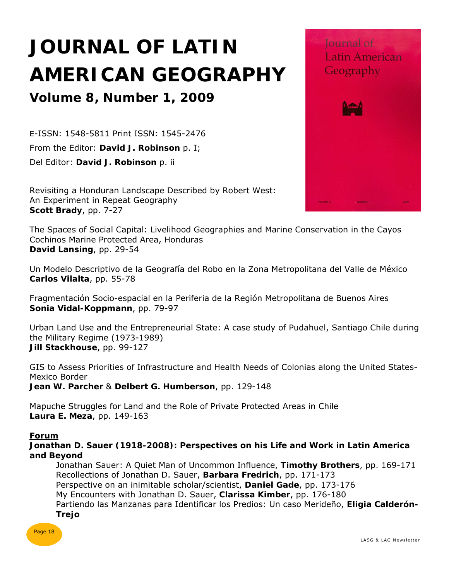## **JOURNAL OF LATIN AMERICAN GEOGRAPHY**

### **Volume 8, Number 1, 2009**

E-ISSN: 1548-5811 Print ISSN: 1545-2476 From the Editor: **David J. Robinson** p. I; Del Editor: **David J. Robinson** p. ii

Revisiting a Honduran Landscape Described by Robert West: An Experiment in Repeat Geography **Scott Brady**, pp. 7-27

The Spaces of Social Capital: Livelihood Geographies and Marine Conservation in the Cayos Cochinos Marine Protected Area, Honduras **David Lansing**, pp. 29-54

Un Modelo Descriptivo de la Geografía del Robo en la Zona Metropolitana del Valle de México **Carlos Vilalta**, pp. 55-78

Fragmentación Socio-espacial en la Periferia de la Región Metropolitana de Buenos Aires **Sonia Vidal-Koppmann**, pp. 79-97

Urban Land Use and the Entrepreneurial State: A case study of Pudahuel, Santiago Chile during the Military Regime (1973-1989) **Jill Stackhouse**, pp. 99-127

GIS to Assess Priorities of Infrastructure and Health Needs of Colonias along the United States-Mexico Border **Jean W. Parcher** & **Delbert G. Humberson**, pp. 129-148

Mapuche Struggles for Land and the Role of Private Protected Areas in Chile **Laura E. Meza**, pp. 149-163

#### **Forum**

**Jonathan D. Sauer (1918-2008): Perspectives on his Life and Work in Latin America and Beyond** 

 Jonathan Sauer: A Quiet Man of Uncommon Influence, **Timothy Brothers**, pp. 169-171 Recollections of Jonathan D. Sauer, **Barbara Fredrich**, pp. 171-173 Perspective on an inimitable scholar/scientist, **Daniel Gade**, pp. 173-176 My Encounters with Jonathan D. Sauer, **Clarissa Kimber**, pp. 176-180 Partiendo las Manzanas para Identificar los Predios: Un caso Merideño, **Eligia Calderón- Trejo** 



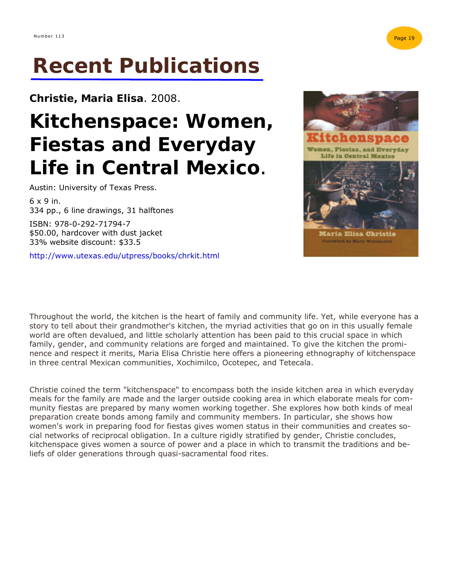**Christie, Maria Elisa**. 2008.

## **Kitchenspace: Women, Fiestas and Everyday**  Life in Central Mexico.<br>Austin: University of Texas Press.

6 x 9 in. 334 pp., 6 line drawings, 31 halftones

ISBN: 978-0-292-71794-7 \$50.00, hardcover with dust jacket 33% website discount: \$33.5

http://www.utexas.edu/utpress/books/chrkit.html



Throughout the world, the kitchen is the heart of family and community life. Yet, while everyone has a story to tell about their grandmother's kitchen, the myriad activities that go on in this usually female world are often devalued, and little scholarly attention has been paid to this crucial space in which family, gender, and community relations are forged and maintained. To give the kitchen the prominence and respect it merits, Maria Elisa Christie here offers a pioneering ethnography of kitchenspace in three central Mexican communities, Xochimilco, Ocotepec, and Tetecala.

Christie coined the term "kitchenspace" to encompass both the inside kitchen area in which everyday meals for the family are made and the larger outside cooking area in which elaborate meals for community fiestas are prepared by many women working together. She explores how both kinds of meal preparation create bonds among family and community members. In particular, she shows how women's work in preparing food for fiestas gives women status in their communities and creates social networks of reciprocal obligation. In a culture rigidly stratified by gender, Christie concludes, kitchenspace gives women a source of power and a place in which to transmit the traditions and beliefs of older generations through quasi-sacramental food rites.

Page 19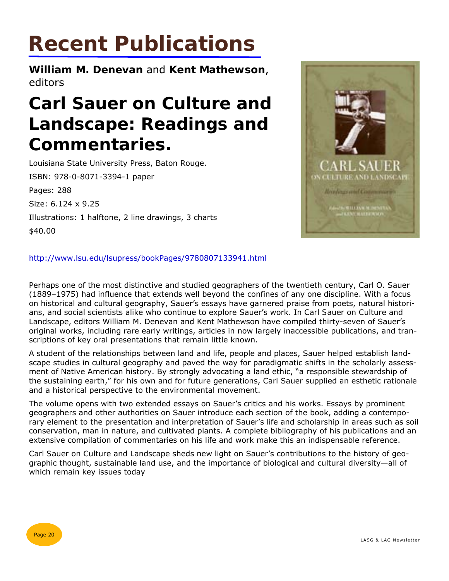**William M. Denevan** and **Kent Mathewson**, editors

## **Carl Sauer on Culture and Landscape: Readings and Commentaries.**

Louisiana State University Press, Baton Rouge. ISBN: 978-0-8071-3394-1 paper Pages: 288

Size: 6.124 x 9.25

Illustrations: 1 halftone, 2 line drawings, 3 charts

\$40.00



#### http://www.lsu.edu/lsupress/bookPages/9780807133941.html

Perhaps one of the most distinctive and studied geographers of the twentieth century, Carl O. Sauer (1889–1975) had influence that extends well beyond the confines of any one discipline. With a focus on historical and cultural geography, Sauer's essays have garnered praise from poets, natural historians, and social scientists alike who continue to explore Sauer's work. In *Carl Sauer on Culture and Landscape*, editors William M. Denevan and Kent Mathewson have compiled thirty-seven of Sauer's original works, including rare early writings, articles in now largely inaccessible publications, and transcriptions of key oral presentations that remain little known.

A student of the relationships between land and life, people and places, Sauer helped establish landscape studies in cultural geography and paved the way for paradigmatic shifts in the scholarly assessment of Native American history. By strongly advocating a land ethic, "a responsible stewardship of the sustaining earth," for his own and for future generations, Carl Sauer supplied an esthetic rationale and a historical perspective to the environmental movement.

The volume opens with two extended essays on Sauer's critics and his works. Essays by prominent geographers and other authorities on Sauer introduce each section of the book, adding a contemporary element to the presentation and interpretation of Sauer's life and scholarship in areas such as soil conservation, man in nature, and cultivated plants. A complete bibliography of his publications and an extensive compilation of commentaries on his life and work make this an indispensable reference.

*Carl Sauer on Culture and Landscape* sheds new light on Sauer's contributions to the history of geographic thought, sustainable land use, and the importance of biological and cultural diversity—all of which remain key issues today

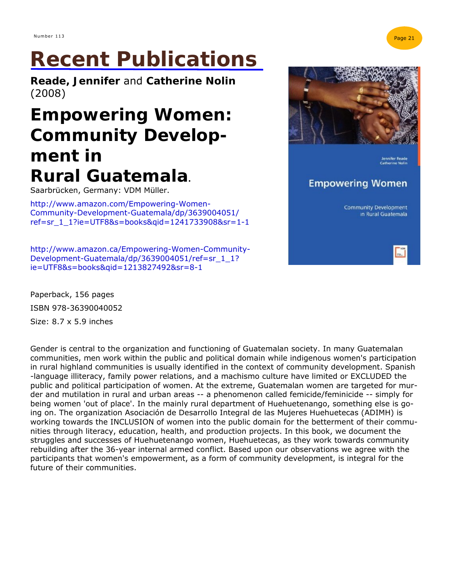**Reade, Jennifer** and **Catherine Nolin**  (2008)

## **Empowering Women: Community Development in Rural Guatemala.**

Saarbrücken, Germany: VDM Müller.

http://www.amazon.com/Empowering-Women-Community-Development-Guatemala/dp/3639004051/ ref=sr\_1\_1?ie=UTF8&s=books&qid=1241733908&sr=1-1

http://www.amazon.ca/Empowering-Women-Community-Development-Guatemala/dp/3639004051/ref=sr\_1\_1? ie=UTF8&s=books&qid=1213827492&sr=8-1

Paperback, 156 pages ISBN 978-36390040052 Size: 8.7 x 5.9 inches

Gender is central to the organization and functioning of Guatemalan society. In many Guatemalan communities, men work within the public and political domain while indigenous women's participation in rural highland communities is usually identified in the context of community development. Spanish -language illiteracy, family power relations, and a machismo culture have limited or EXCLUDED the public and political participation of women. At the extreme, Guatemalan women are targeted for murder and mutilation in rural and urban areas -- a phenomenon called femicide/feminicide -- simply for being women 'out of place'. In the mainly rural department of Huehuetenango, something else is going on. The organization Asociación de Desarrollo Integral de las Mujeres Huehuetecas (ADIMH) is working towards the INCLUSION of women into the public domain for the betterment of their communities through literacy, education, health, and production projects. In this book, we document the struggles and successes of Huehuetenango women, Huehuetecas, as they work towards community rebuilding after the 36-year internal armed conflict. Based upon our observations we agree with the participants that women's empowerment, as a form of community development, is integral for the future of their communities.



**Community Development** in Rural Guatemala

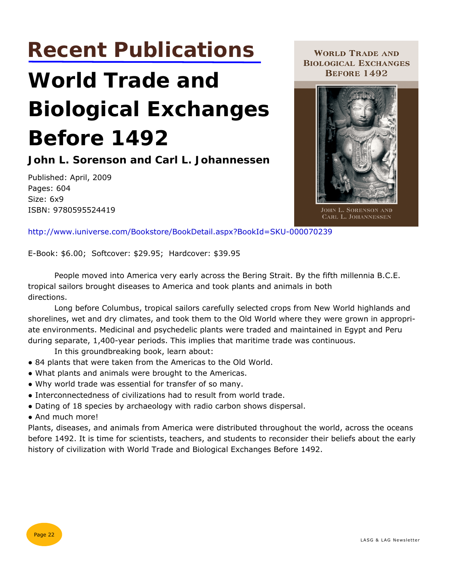## **World Trade and Biological Exchanges Before 1492**

**John L. Sorenson and Carl L. Johannessen** 

Published: April, 2009 Pages: 604 Size: 6x9 ISBN: 9780595524419

**WORLD TRADE AND BIOLOGICAL EXCHANGES BEFORE 1492** 



JOHN L. SORENSON AND CARL L. JOHANNESSEN

http://www.iuniverse.com/Bookstore/BookDetail.aspx?BookId=SKU-000070239

E-Book: \$6.00; Softcover: \$29.95; Hardcover: \$39.95

 People moved into America very early across the Bering Strait. By the fifth millennia B.C.E. tropical sailors brought diseases to America and took plants and animals in both directions.

 Long before Columbus, tropical sailors carefully selected crops from New World highlands and shorelines, wet and dry climates, and took them to the Old World where they were grown in appropriate environments. Medicinal and psychedelic plants were traded and maintained in Egypt and Peru during separate, 1,400-year periods. This implies that maritime trade was continuous.

In this groundbreaking book, learn about:

- 84 plants that were taken from the Americas to the Old World.
- What plants and animals were brought to the Americas.
- Why world trade was essential for transfer of so many.
- Interconnectedness of civilizations had to result from world trade.
- Dating of 18 species by archaeology with radio carbon shows dispersal.
- And much more!

Plants, diseases, and animals from America were distributed throughout the world, across the oceans before 1492. It is time for scientists, teachers, and students to reconsider their beliefs about the early history of civilization with World Trade and Biological Exchanges Before 1492.

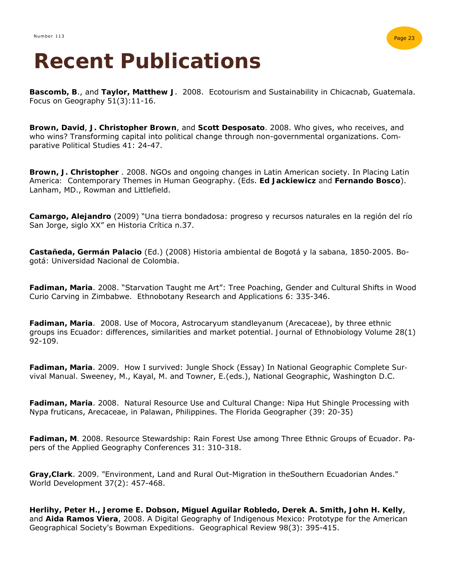

**Bascomb, B**., and **Taylor, Matthew J**. 2008. Ecotourism and Sustainability in Chicacnab, Guatemala. *Focus on Geography* 51(3):11-16.

**Brown, David**, **J. Christopher Brown**, and **Scott Desposato**. 2008. Who gives, who receives, and who wins? Transforming capital into political change through non-governmental organizations. *Comparative Political Studies* 41: 24-47.

**Brown, J. Christopher** . 2008. NGOs and ongoing changes in Latin American society. In *Placing Latin America: Contemporary Themes in Human Geography*. (Eds. **Ed Jackiewicz** and **Fernando Bosco**). Lanham, MD., Rowman and Littlefield.

**Camargo, Alejandro** (2009) "Una tierra bondadosa: progreso y recursos naturales en la región del río San Jorge, siglo XX" en *Historia Crítica* n.37.

**Castañeda, Germán Palacio** (Ed.) (2008) *Historia ambiental de Bogotá y la sabana, 1850-2005*. Bogotá: Universidad Nacional de Colombia.

**Fadiman, Maria**. 2008. "Starvation Taught me Art": Tree Poaching, Gender and Cultural Shifts in Wood Curio Carving in Zimbabwe. *Ethnobotany Research and Applications* 6: 335-346.

**Fadiman, Maria**. 2008. Use of Mocora, Astrocaryum standleyanum (Arecaceae), by three ethnic groups ins Ecuador: differences, similarities and market potential. *Journal of Ethnobiology* Volume 28(1) 92-109.

**Fadiman, Maria**. 2009. How I survived: Jungle Shock (Essay) In *National Geographic Complete Survival Manual*. Sweeney, M., Kayal, M. and Towner, E.(eds.), National Geographic, Washington D.C.

**Fadiman, Maria**. 2008. Natural Resource Use and Cultural Change: Nipa Hut Shingle Processing with Nypa fruticans, Arecaceae, in Palawan, Philippines. *The Florida Geographer* (39: 20-35)

**Fadiman, M**. 2008. Resource Stewardship: Rain Forest Use among Three Ethnic Groups of Ecuador. *Papers of the Applied Geography Conferences* 31: 310-318.

**Gray,Clark**. 2009. "Environment, Land and Rural Out-Migration in theSouthern Ecuadorian Andes." *World Development* 37(2): 457-468.

**Herlihy, Peter H., Jerome E. Dobson, Miguel Aguilar Robledo, Derek A. Smith, John H. Kelly**, and **Aida Ramos Viera**, 2008. A Digital Geography of Indigenous Mexico: Prototype for the American Geographical Society's Bowman Expeditions. *Geographical Review* 98(3): 395-415.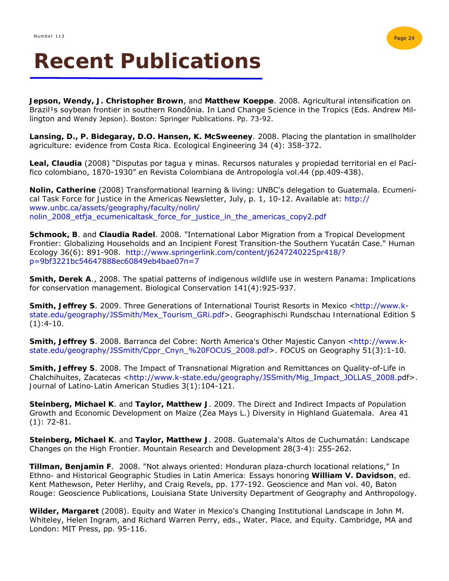

**Jepson, Wendy, J. Christopher Brown**, and **Matthew Koeppe**. 2008. Agricultural intensification on Brazil<sup>1</sup>s soybean frontier in southern Rondônia. In *Land Change Science in the Tropics* (Eds. Andrew Millington and Wendy Jepson). Boston: Springer Publications. Pp. 73-92.

**Lansing, D., P. Bidegaray, D.O. Hansen, K. McSweeney**. 2008. Placing the plantation in smallholder agriculture: evidence from Costa Rica. *Ecological Engineering* 34 (4): 358-372.

**Leal, Claudia** (2008) "Disputas por tagua y minas. Recursos naturales y propiedad territorial en el Pacífico colombiano, 1870-1930" en *Revista Colombiana de Antropología* vol.44 (pp.409-438).

**Nolin, Catherine** (2008) Transformational learning & living: UNBC's delegation to Guatemala. *Ecumenical Task Force for Justice in the Americas Newsletter*, July, p. 1, 10-12. Available at: http:// www.unbc.ca/assets/geography/faculty/nolin/ nolin\_2008\_etfja\_ecumenicaltask\_force\_for\_justice\_in\_the\_americas\_copy2.pdf

**Schmook, B**. and **Claudia Radel**. 2008. "International Labor Migration from a Tropical Development Frontier: Globalizing Households and an Incipient Forest Transition-the Southern Yucatán Case." *Human Ecology* 36(6): 891-908. http://www.springerlink.com/content/j6247240225pr418/? p=9bf3221bc54647888ec60849eb4bae07π=7

**Smith, Derek A**., 2008. The spatial patterns of indigenous wildlife use in western Panama: Implications for conservation management. *Biological Conservation* 141(4):925-937.

**Smith, Jeffrey S.** 2009. Three Generations of International Tourist Resorts in Mexico <http://www.kstate.edu/geography/JSSmith/Mex\_Tourism\_GRi.pdf>. *Geographischi Rundschau International Edition* 5  $(1):4-10.$ 

**Smith, Jeffrey S**. 2008. Barranca del Cobre: North America's Other Majestic Canyon <http://www.kstate.edu/geography/JSSmith/Cppr\_Cnyn\_%20FOCUS\_2008.pdf>. *FOCUS on Geography* 51(3):1-10.

**Smith, Jeffrey S**. 2008. The Impact of Transnational Migration and Remittances on Quality-of-Life in Chalchihuites, Zacatecas <http://www.k-state.edu/geography/JSSmith/Mig\_Impact\_JOLLAS\_2008.pdf>. *Journal of Latino-Latin American Studies* 3(1):104-121.

**Steinberg, Michael K**. and **Taylor, Matthew J**. 2009. The Direct and Indirect Impacts of Population Growth and Economic Development on Maize (Zea Mays L.) Diversity in Highland Guatemala. *Area 41* (1): 72-81.

**Steinberg, Michael K**. and **Taylor, Matthew J**. 2008. Guatemala's Altos de Cuchumatán: Landscape Changes on the High Frontier. *Mountain Research and Development* 28(3-4): 255-262.

**Tillman, Benjamin F**. 2008. "Not always oriented: Honduran plaza-church locational relations," In *Ethno- and Historical Geographic Studies in Latin America: Essays honoring William V. Davidson*, ed. Kent Mathewson, Peter Herlihy, and Craig Revels, pp. 177-192. Geoscience and Man vol. 40, Baton Rouge: Geoscience Publications, Louisiana State University Department of Geography and Anthropology.

**Wilder, Margaret** (2008). Equity and Water in Mexico's Changing Institutional Landscape in John M. Whiteley, Helen Ingram, and Richard Warren Perry, eds., *Water, Place, and Equity*. Cambridge, MA and London: MIT Press, pp. 95-116.